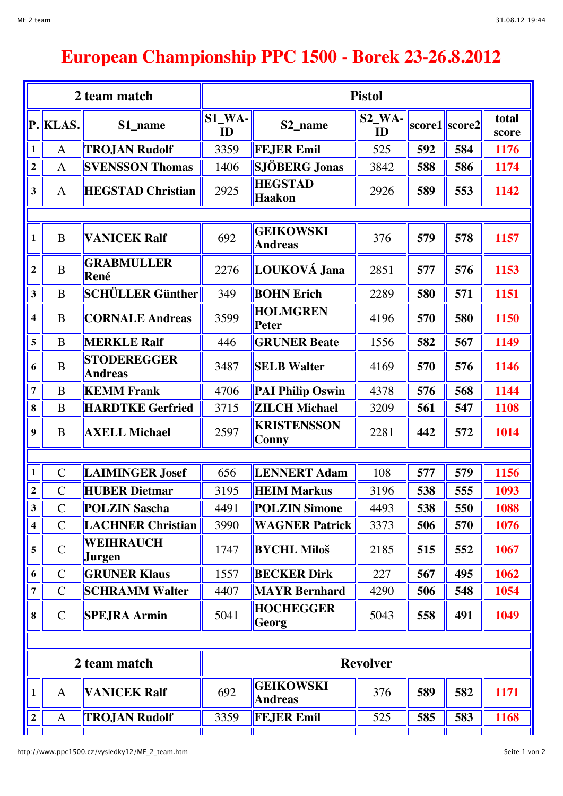## **European Championship PPC 1500 - Borek 23-26.8.2012**

| 2 team match            |                |                                      | <b>Pistol</b>              |                                    |                |     |               |                |  |  |
|-------------------------|----------------|--------------------------------------|----------------------------|------------------------------------|----------------|-----|---------------|----------------|--|--|
| P.                      | <b>KLAS.</b>   | S1_name                              | $S1$ <sub>WA</sub> -<br>ID | S2 name                            | $S2$ WA-<br>ID |     | score1 score2 | total<br>score |  |  |
| $\mathbf{1}$            | $\mathbf{A}$   | <b>TROJAN Rudolf</b>                 | 3359                       | <b>FEJER Emil</b>                  | 525            | 592 | 584           | 1176           |  |  |
| $\overline{2}$          | $\mathbf{A}$   | <b>SVENSSON Thomas</b>               | 1406                       | SJÖBERG Jonas                      | 3842           | 588 | 586           | 1174           |  |  |
| 3                       | $\mathbf{A}$   | <b>HEGSTAD Christian</b>             | 2925                       | <b>HEGSTAD</b><br>Haakon           | 2926           | 589 | 553           | 1142           |  |  |
|                         |                |                                      |                            |                                    |                |     |               |                |  |  |
| 1                       | $\bf{B}$       | <b>VANICEK Ralf</b>                  | 692                        | <b>GEIKOWSKI</b><br><b>Andreas</b> | 376            | 579 | 578           | 1157           |  |  |
| $\boldsymbol{2}$        | B              | <b>GRABMULLER</b><br>René            | 2276                       | LOUKOVÁ Jana                       | 2851           | 577 | 576           | 1153           |  |  |
| $\mathbf{3}$            | B              | SCHÜLLER Günther                     | 349                        | <b>BOHN Erich</b>                  | 2289           | 580 | 571           | 1151           |  |  |
| 4                       | B              | <b>CORNALE Andreas</b>               | 3599                       | <b>HOLMGREN</b><br>Peter           | 4196           | 570 | 580           | 1150           |  |  |
| 5                       | B              | <b>MERKLE Ralf</b>                   | 446                        | <b>GRUNER Beate</b>                | 1556           | 582 | 567           | 1149           |  |  |
| 6                       | B              | <b>STODEREGGER</b><br><b>Andreas</b> | 3487                       | <b>SELB Walter</b>                 | 4169           | 570 | 576           | 1146           |  |  |
| $\overline{7}$          | B              | <b>KEMM Frank</b>                    | 4706                       | <b>PAI Philip Oswin</b>            | 4378           | 576 | 568           | 1144           |  |  |
| 8                       | B              | <b>HARDTKE Gerfried</b>              | 3715                       | <b>ZILCH Michael</b>               | 3209           | 561 | 547           | 1108           |  |  |
| 9                       | B              | <b>AXELL Michael</b>                 | 2597                       | <b>KRISTENSSON</b><br>Conny        | 2281           | 442 | 572           | 1014           |  |  |
|                         |                |                                      |                            |                                    |                |     |               |                |  |  |
| $\mathbf{1}$            | $\mathcal{C}$  | <b>LAIMINGER Josef</b>               | 656                        | <b>LENNERT Adam</b>                | 108            | 577 | 579           | 1156           |  |  |
| $\mathbf 2$             | $\mathcal{C}$  | <b>HUBER Dietmar</b>                 | 3195                       | <b>HEIM Markus</b>                 | 3196           | 538 | 555           | 1093           |  |  |
| $\mathbf{3}$            | $\mathcal{C}$  | <b>POLZIN Sascha</b>                 | 4491                       | <b>POLZIN Simone</b>               | 4493           | 538 | 550           | 1088           |  |  |
| $\overline{\mathbf{4}}$ | $\overline{C}$ | <b>LACHNER Christian</b>             | 3990                       | <b>WAGNER Patrick</b>              | 3373           | 506 | 570           | 1076           |  |  |
| 5                       | $\mathcal{C}$  | <b>WEIHRAUCH</b><br><b>Jurgen</b>    | 1747                       | <b>BYCHL Miloš</b>                 | 2185           | 515 | 552           | 1067           |  |  |
| 6                       | $\mathsf{C}$   | <b>GRUNER Klaus</b>                  | 1557                       | <b>BECKER Dirk</b>                 | 227            | 567 | 495           | 1062           |  |  |
| $\overline{7}$          | $\mathsf{C}$   | <b>SCHRAMM Walter</b>                | 4407                       | <b>MAYR Bernhard</b>               | 4290           | 506 | 548           | 1054           |  |  |
| 8                       | $\mathsf{C}$   | <b>SPEJRA Armin</b>                  | 5041                       | <b>HOCHEGGER</b><br>Georg          | 5043           | 558 | 491           | 1049           |  |  |
|                         |                |                                      |                            |                                    |                |     |               |                |  |  |
|                         |                | 2 team match                         | <b>Revolver</b>            |                                    |                |     |               |                |  |  |
| 1                       | $\mathbf{A}$   | <b>VANICEK Ralf</b>                  | 692                        | <b>GEIKOWSKI</b><br><b>Andreas</b> | 376            | 589 | 582           | 1171           |  |  |
| $\overline{\mathbf{2}}$ | $\mathbf{A}$   | <b>TROJAN Rudolf</b>                 | 3359                       | <b>FEJER Emil</b>                  | 525            | 585 | 583           | 1168           |  |  |
|                         |                |                                      |                            |                                    |                |     |               |                |  |  |